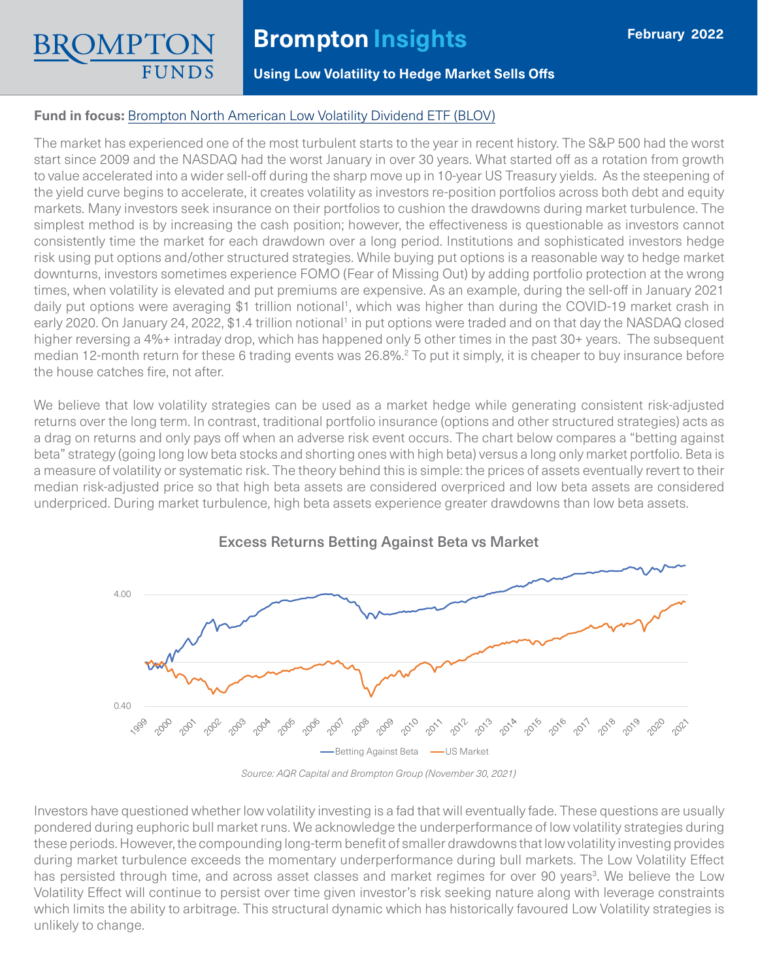# **Brompton Insights**

**Using Low Volatility to Hedge Market Sells Offs**

### **Fund in focus:** [Brompton North American Low Volatility Dividend ETF \(BLOV\)](https://www.bromptongroup.com/product/brompton-north-american-low-volatility-dividend-etf/)

The market has experienced one of the most turbulent starts to the year in recent history. The S&P 500 had the worst start since 2009 and the NASDAQ had the worst January in over 30 years. What started off as a rotation from growth to value accelerated into a wider sell-off during the sharp move up in 10-year US Treasury yields. As the steepening of the yield curve begins to accelerate, it creates volatility as investors re-position portfolios across both debt and equity markets. Many investors seek insurance on their portfolios to cushion the drawdowns during market turbulence. The simplest method is by increasing the cash position; however, the effectiveness is questionable as investors cannot consistently time the market for each drawdown over a long period. Institutions and sophisticated investors hedge risk using put options and/other structured strategies. While buying put options is a reasonable way to hedge market downturns, investors sometimes experience FOMO (Fear of Missing Out) by adding portfolio protection at the wrong times, when volatility is elevated and put premiums are expensive. As an example, during the sell-off in January 2021 daily put options were averaging \$1 trillion notional<sup>1</sup>, which was higher than during the COVID-19 market crash in early 2020. On January 24, 2022, \$1.4 trillion notional<sup>1</sup> in put options were traded and on that day the NASDAQ closed higher reversing a 4%+ intraday drop, which has happened only 5 other times in the past 30+ years. The subsequent median 12-month return for these 6 trading events was 26.8%.<sup>2</sup> To put it simply, it is cheaper to buy insurance before the house catches fire, not after.

We believe that low volatility strategies can be used as a market hedge while generating consistent risk-adjusted returns over the long term. In contrast, traditional portfolio insurance (options and other structured strategies) acts as a drag on returns and only pays off when an adverse risk event occurs. The chart below compares a "betting against beta" strategy (going long low beta stocks and shorting ones with high beta) versus a long only market portfolio. Beta is a measure of volatility or systematic risk. The theory behind this is simple: the prices of assets eventually revert to their median risk-adjusted price so that high beta assets are considered overpriced and low beta assets are considered underpriced. During market turbulence, high beta assets experience greater drawdowns than low beta assets.





*Source: AQR Capital and Brompton Group (November 30, 2021)*

Investors have questioned whether low volatility investing is a fad that will eventually fade. These questions are usually pondered during euphoric bull market runs. We acknowledge the underperformance of low volatility strategies during these periods. However, the compounding long-term benefit of smaller drawdowns that low volatility investing provides during market turbulence exceeds the momentary underperformance during bull markets. The Low Volatility Effect has persisted through time, and across asset classes and market regimes for over 90 years<sup>3</sup>. We believe the Low Volatility Effect will continue to persist over time given investor's risk seeking nature along with leverage constraints which limits the ability to arbitrage. This structural dynamic which has historically favoured Low Volatility strategies is unlikely to change.